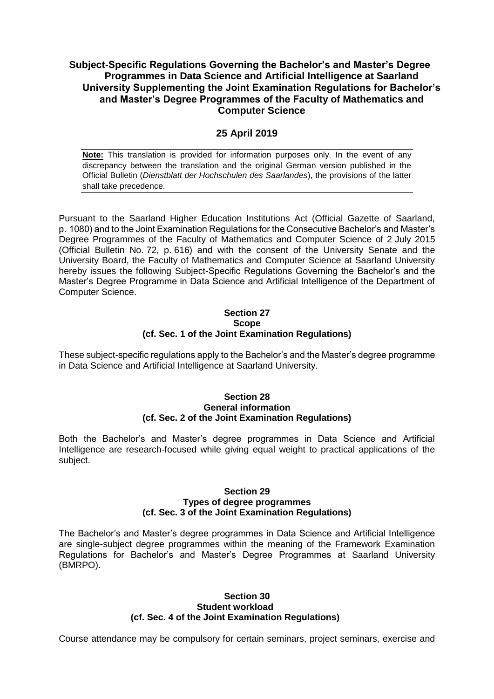# **Subject-Specific Regulations Governing the Bachelor's and Master's Degree Programmes in Data Science and Artificial Intelligence at Saarland University Supplementing the Joint Examination Regulations for Bachelor's and Master's Degree Programmes of the Faculty of Mathematics and Computer Science**

## **25 April 2019**

**Note:** This translation is provided for information purposes only. In the event of any discrepancy between the translation and the original German version published in the Official Bulletin (*Dienstblatt der Hochschulen des Saarlandes*), the provisions of the latter shall take precedence.

Pursuant to the Saarland Higher Education Institutions Act (Official Gazette of Saarland, p. 1080) and to the Joint Examination Regulations for the Consecutive Bachelor's and Master's Degree Programmes of the Faculty of Mathematics and Computer Science of 2 July 2015 (Official Bulletin No. 72, p. 616) and with the consent of the University Senate and the University Board, the Faculty of Mathematics and Computer Science at Saarland University hereby issues the following Subject-Specific Regulations Governing the Bachelor's and the Master's Degree Programme in Data Science and Artificial Intelligence of the Department of Computer Science.

### **Section 27 Scope (cf. Sec. 1 of the Joint Examination Regulations)**

These subject-specific regulations apply to the Bachelor's and the Master's degree programme in Data Science and Artificial Intelligence at Saarland University.

### **Section 28 General information (cf. Sec. 2 of the Joint Examination Regulations)**

Both the Bachelor's and Master's degree programmes in Data Science and Artificial Intelligence are research-focused while giving equal weight to practical applications of the subject.

#### **Section 29 Types of degree programmes (cf. Sec. 3 of the Joint Examination Regulations)**

The Bachelor's and Master's degree programmes in Data Science and Artificial Intelligence are single-subject degree programmes within the meaning of the Framework Examination Regulations for Bachelor's and Master's Degree Programmes at Saarland University (BMRPO).

### **Section 30 Student workload (cf. Sec. 4 of the Joint Examination Regulations)**

Course attendance may be compulsory for certain seminars, project seminars, exercise and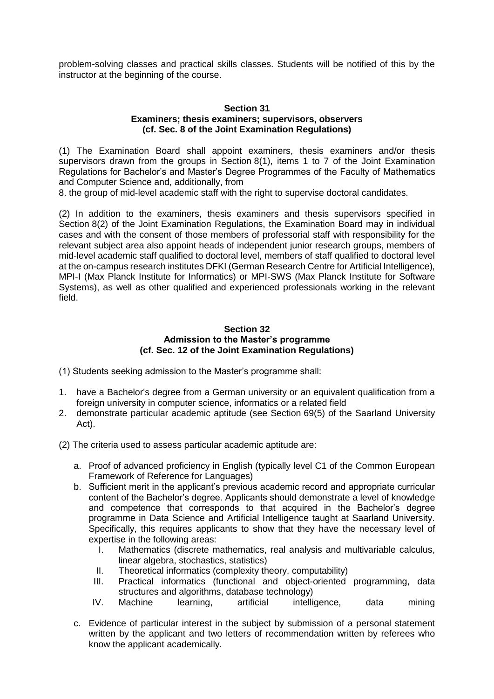problem-solving classes and practical skills classes. Students will be notified of this by the instructor at the beginning of the course.

### **Section 31 Examiners; thesis examiners; supervisors, observers (cf. Sec. 8 of the Joint Examination Regulations)**

(1) The Examination Board shall appoint examiners, thesis examiners and/or thesis supervisors drawn from the groups in Section 8(1), items 1 to 7 of the Joint Examination Regulations for Bachelor's and Master's Degree Programmes of the Faculty of Mathematics and Computer Science and, additionally, from

8. the group of mid-level academic staff with the right to supervise doctoral candidates.

(2) In addition to the examiners, thesis examiners and thesis supervisors specified in Section 8(2) of the Joint Examination Regulations, the Examination Board may in individual cases and with the consent of those members of professorial staff with responsibility for the relevant subject area also appoint heads of independent junior research groups, members of mid-level academic staff qualified to doctoral level, members of staff qualified to doctoral level at the on-campus research institutes DFKI (German Research Centre for Artificial Intelligence), MPI-I (Max Planck Institute for Informatics) or MPI-SWS (Max Planck Institute for Software Systems), as well as other qualified and experienced professionals working in the relevant field.

## **Section 32 Admission to the Master's programme (cf. Sec. 12 of the Joint Examination Regulations)**

(1) Students seeking admission to the Master's programme shall:

- 1. have a Bachelor's degree from a German university or an equivalent qualification from a foreign university in computer science, informatics or a related field
- 2. demonstrate particular academic aptitude (see Section 69(5) of the Saarland University Act).
- (2) The criteria used to assess particular academic aptitude are:
	- a. Proof of advanced proficiency in English (typically level C1 of the Common European Framework of Reference for Languages)
	- b. Sufficient merit in the applicant's previous academic record and appropriate curricular content of the Bachelor's degree. Applicants should demonstrate a level of knowledge and competence that corresponds to that acquired in the Bachelor's degree programme in Data Science and Artificial Intelligence taught at Saarland University. Specifically, this requires applicants to show that they have the necessary level of expertise in the following areas:
		- I. Mathematics (discrete mathematics, real analysis and multivariable calculus, linear algebra, stochastics, statistics)
		- II. Theoretical informatics (complexity theory, computability)
		- III. Practical informatics (functional and object-oriented programming, data structures and algorithms, database technology)
		- IV. Machine learning, artificial intelligence, data mining
	- c. Evidence of particular interest in the subject by submission of a personal statement written by the applicant and two letters of recommendation written by referees who know the applicant academically.